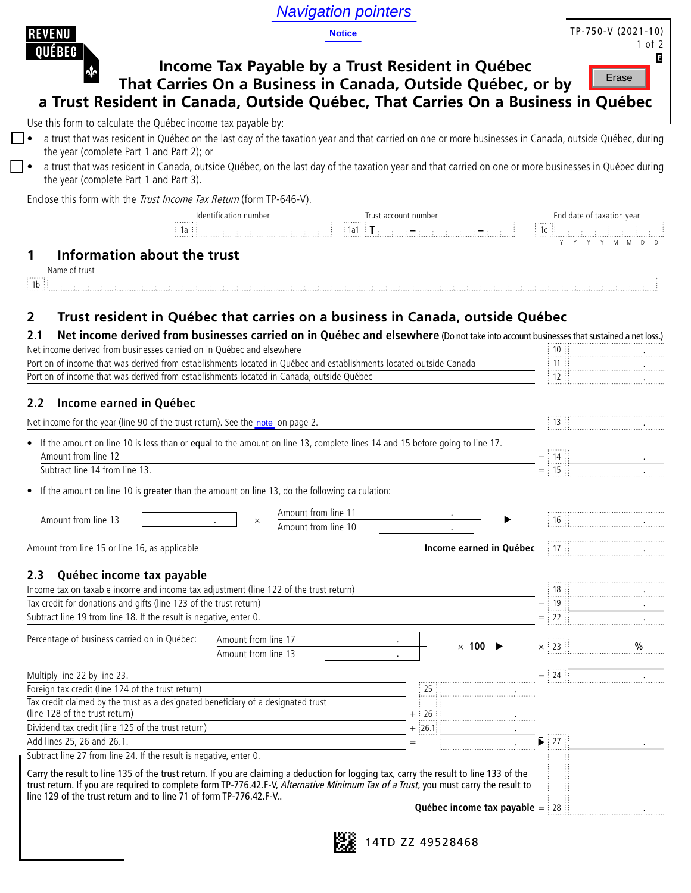